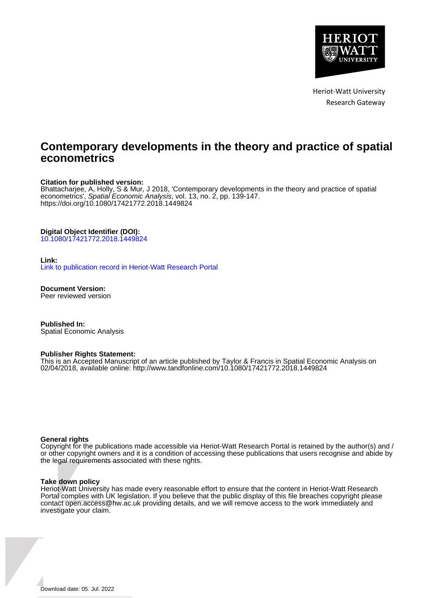

Heriot-Watt University Research Gateway

# **Contemporary developments in the theory and practice of spatial econometrics**

## **Citation for published version:**

Bhattacharjee, A, Holly, S & Mur, J 2018, 'Contemporary developments in the theory and practice of spatial econometrics', Spatial Economic Analysis, vol. 13, no. 2, pp. 139-147. <https://doi.org/10.1080/17421772.2018.1449824>

## **Digital Object Identifier (DOI):**

[10.1080/17421772.2018.1449824](https://doi.org/10.1080/17421772.2018.1449824)

## **Link:**

[Link to publication record in Heriot-Watt Research Portal](https://researchportal.hw.ac.uk/en/publications/e4aa064c-ac52-42da-a4e2-0ed61f4d39b2)

**Document Version:** Peer reviewed version

**Published In:** Spatial Economic Analysis

## **Publisher Rights Statement:**

This is an Accepted Manuscript of an article published by Taylor & Francis in Spatial Economic Analysis on 02/04/2018, available online: http://www.tandfonline.com/10.1080/17421772.2018.1449824

### **General rights**

Copyright for the publications made accessible via Heriot-Watt Research Portal is retained by the author(s) and / or other copyright owners and it is a condition of accessing these publications that users recognise and abide by the legal requirements associated with these rights.

#### **Take down policy**

Heriot-Watt University has made every reasonable effort to ensure that the content in Heriot-Watt Research Portal complies with UK legislation. If you believe that the public display of this file breaches copyright please contact open.access@hw.ac.uk providing details, and we will remove access to the work immediately and investigate your claim.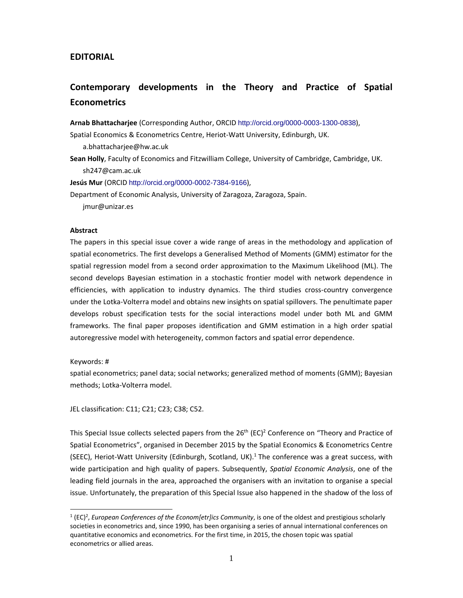## **EDITORIAL**

# **Contemporary developments in the Theory and Practice of Spatial Econometrics**

**Arnab Bhattacharjee** (Corresponding Author, ORCID http://orcid.org/0000-0003-1300-0838),

Spatial Economics & Econometrics Centre, Heriot‐Watt University, Edinburgh, UK.

a.bhattacharjee@hw.ac.uk

**Sean Holly**, Faculty of Economics and Fitzwilliam College, University of Cambridge, Cambridge, UK. sh247@cam.ac.uk

**Jesús Mur** (ORCID http://orcid.org/0000-0002-7384-9166),

Department of Economic Analysis, University of Zaragoza, Zaragoza, Spain.

jmur@unizar.es

## **Abstract**

The papers in this special issue cover a wide range of areas in the methodology and application of spatial econometrics. The first develops a Generalised Method of Moments (GMM) estimator for the spatial regression model from a second order approximation to the Maximum Likelihood (ML). The second develops Bayesian estimation in a stochastic frontier model with network dependence in efficiencies, with application to industry dynamics. The third studies cross-country convergence under the Lotka‐Volterra model and obtains new insights on spatial spillovers. The penultimate paper develops robust specification tests for the social interactions model under both ML and GMM frameworks. The final paper proposes identification and GMM estimation in a high order spatial autoregressive model with heterogeneity, common factors and spatial error dependence.

## Keywords: #

 $\overline{a}$ 

spatial econometrics; panel data; social networks; generalized method of moments (GMM); Bayesian methods; Lotka‐Volterra model.

JEL classification: C11; C21; C23; C38; C52.

This Special Issue collects selected papers from the  $26<sup>th</sup>$  (EC)<sup>2</sup> Conference on "Theory and Practice of Spatial Econometrics", organised in December 2015 by the Spatial Economics & Econometrics Centre (SEEC), Heriot-Watt University (Edinburgh, Scotland, UK).<sup>1</sup> The conference was a great success, with wide participation and high quality of papers. Subsequently, *Spatial Economic Analysis*, one of the leading field journals in the area, approached the organisers with an invitation to organise a special issue. Unfortunately, the preparation of this Special Issue also happened in the shadow of the loss of

<sup>1</sup> (EC)2 , *European Conferences of the Econom[etr]ics Community*, is one of the oldest and prestigious scholarly societies in econometrics and, since 1990, has been organising a series of annual international conferences on quantitative economics and econometrics. For the first time, in 2015, the chosen topic was spatial econometrics or allied areas.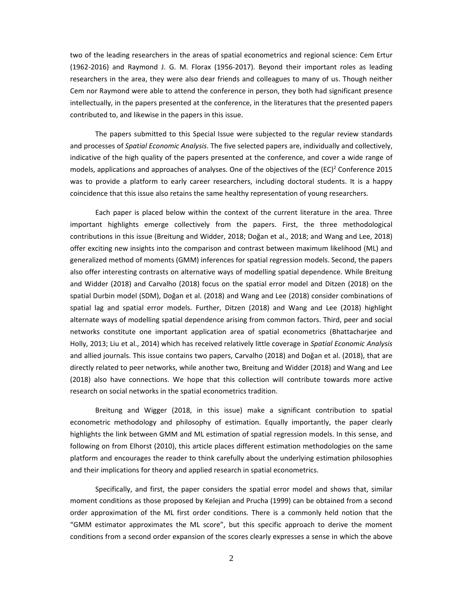two of the leading researchers in the areas of spatial econometrics and regional science: Cem Ertur (1962‐2016) and Raymond J. G. M. Florax (1956‐2017). Beyond their important roles as leading researchers in the area, they were also dear friends and colleagues to many of us. Though neither Cem nor Raymond were able to attend the conference in person, they both had significant presence intellectually, in the papers presented at the conference, in the literatures that the presented papers contributed to, and likewise in the papers in this issue.

The papers submitted to this Special Issue were subjected to the regular review standards and processes of *Spatial Economic Analysis*. The five selected papers are, individually and collectively, indicative of the high quality of the papers presented at the conference, and cover a wide range of models, applications and approaches of analyses. One of the objectives of the  $(EC)^2$  Conference 2015 was to provide a platform to early career researchers, including doctoral students. It is a happy coincidence that this issue also retains the same healthy representation of young researchers.

Each paper is placed below within the context of the current literature in the area. Three important highlights emerge collectively from the papers. First, the three methodological contributions in this issue (Breitung and Widder, 2018; Doğan et al., 2018; and Wang and Lee, 2018) offer exciting new insights into the comparison and contrast between maximum likelihood (ML) and generalized method of moments (GMM) inferences for spatial regression models. Second, the papers also offer interesting contrasts on alternative ways of modelling spatial dependence. While Breitung and Widder (2018) and Carvalho (2018) focus on the spatial error model and Ditzen (2018) on the spatial Durbin model (SDM), Doğan et al. (2018) and Wang and Lee (2018) consider combinations of spatial lag and spatial error models. Further, Ditzen (2018) and Wang and Lee (2018) highlight alternate ways of modelling spatial dependence arising from common factors. Third, peer and social networks constitute one important application area of spatial econometrics (Bhattacharjee and Holly, 2013; Liu et al., 2014) which has received relatively little coverage in *Spatial Economic Analysis* and allied journals. This issue contains two papers, Carvalho (2018) and Doğan et al. (2018), that are directly related to peer networks, while another two, Breitung and Widder (2018) and Wang and Lee (2018) also have connections. We hope that this collection will contribute towards more active research on social networks in the spatial econometrics tradition.

Breitung and Wigger (2018, in this issue) make a significant contribution to spatial econometric methodology and philosophy of estimation. Equally importantly, the paper clearly highlights the link between GMM and ML estimation of spatial regression models. In this sense, and following on from Elhorst (2010), this article places different estimation methodologies on the same platform and encourages the reader to think carefully about the underlying estimation philosophies and their implications for theory and applied research in spatial econometrics.

Specifically, and first, the paper considers the spatial error model and shows that, similar moment conditions as those proposed by Kelejian and Prucha (1999) can be obtained from a second order approximation of the ML first order conditions. There is a commonly held notion that the "GMM estimator approximates the ML score", but this specific approach to derive the moment conditions from a second order expansion of the scores clearly expresses a sense in which the above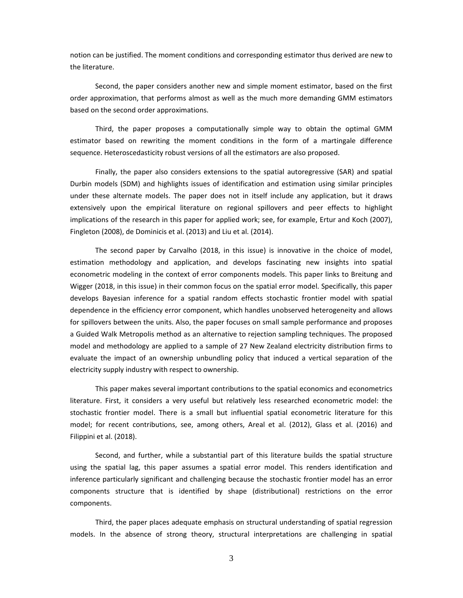notion can be justified. The moment conditions and corresponding estimator thus derived are new to the literature.

Second, the paper considers another new and simple moment estimator, based on the first order approximation, that performs almost as well as the much more demanding GMM estimators based on the second order approximations.

Third, the paper proposes a computationally simple way to obtain the optimal GMM estimator based on rewriting the moment conditions in the form of a martingale difference sequence. Heteroscedasticity robust versions of all the estimators are also proposed.

Finally, the paper also considers extensions to the spatial autoregressive (SAR) and spatial Durbin models (SDM) and highlights issues of identification and estimation using similar principles under these alternate models. The paper does not in itself include any application, but it draws extensively upon the empirical literature on regional spillovers and peer effects to highlight implications of the research in this paper for applied work; see, for example, Ertur and Koch (2007), Fingleton (2008), de Dominicis et al. (2013) and Liu et al. (2014).

The second paper by Carvalho (2018, in this issue) is innovative in the choice of model, estimation methodology and application, and develops fascinating new insights into spatial econometric modeling in the context of error components models. This paper links to Breitung and Wigger (2018, in this issue) in their common focus on the spatial error model. Specifically, this paper develops Bayesian inference for a spatial random effects stochastic frontier model with spatial dependence in the efficiency error component, which handles unobserved heterogeneity and allows for spillovers between the units. Also, the paper focuses on small sample performance and proposes a Guided Walk Metropolis method as an alternative to rejection sampling techniques. The proposed model and methodology are applied to a sample of 27 New Zealand electricity distribution firms to evaluate the impact of an ownership unbundling policy that induced a vertical separation of the electricity supply industry with respect to ownership.

This paper makes several important contributions to the spatial economics and econometrics literature. First, it considers a very useful but relatively less researched econometric model: the stochastic frontier model. There is a small but influential spatial econometric literature for this model; for recent contributions, see, among others, Areal et al. (2012), Glass et al. (2016) and Filippini et al. (2018).

Second, and further, while a substantial part of this literature builds the spatial structure using the spatial lag, this paper assumes a spatial error model. This renders identification and inference particularly significant and challenging because the stochastic frontier model has an error components structure that is identified by shape (distributional) restrictions on the error components.

Third, the paper places adequate emphasis on structural understanding of spatial regression models. In the absence of strong theory, structural interpretations are challenging in spatial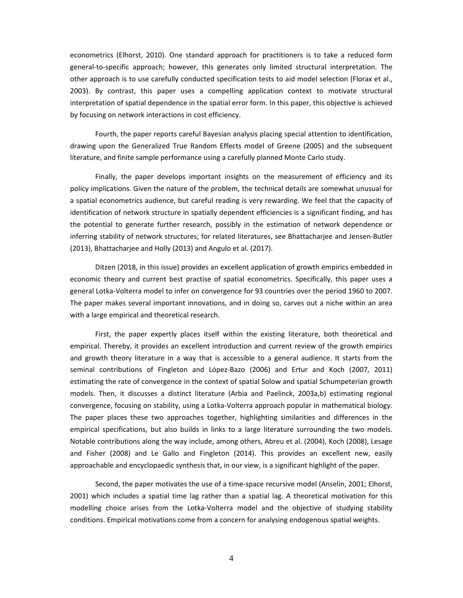econometrics (Elhorst, 2010). One standard approach for practitioners is to take a reduced form general-to-specific approach; however, this generates only limited structural interpretation. The other approach is to use carefully conducted specification tests to aid model selection (Florax et al., 2003). By contrast, this paper uses a compelling application context to motivate structural interpretation of spatial dependence in the spatial error form. In this paper, this objective is achieved by focusing on network interactions in cost efficiency.

Fourth, the paper reports careful Bayesian analysis placing special attention to identification, drawing upon the Generalized True Random Effects model of Greene (2005) and the subsequent literature, and finite sample performance using a carefully planned Monte Carlo study.

Finally, the paper develops important insights on the measurement of efficiency and its policy implications. Given the nature of the problem, the technical details are somewhat unusual for a spatial econometrics audience, but careful reading is very rewarding. We feel that the capacity of identification of network structure in spatially dependent efficiencies is a significant finding, and has the potential to generate further research, possibly in the estimation of network dependence or inferring stability of network structures; for related literatures, see Bhattacharjee and Jensen‐Butler (2013), Bhattacharjee and Holly (2013) and Angulo et al. (2017).

Ditzen (2018, in this issue) provides an excellent application of growth empirics embedded in economic theory and current best practise of spatial econometrics. Specifically, this paper uses a general Lotka‐Volterra model to infer on convergence for 93 countries over the period 1960 to 2007. The paper makes several important innovations, and in doing so, carves out a niche within an area with a large empirical and theoretical research.

First, the paper expertly places itself within the existing literature, both theoretical and empirical. Thereby, it provides an excellent introduction and current review of the growth empirics and growth theory literature in a way that is accessible to a general audience. It starts from the seminal contributions of Fingleton and López‐Bazo (2006) and Ertur and Koch (2007, 2011) estimating the rate of convergence in the context of spatial Solow and spatial Schumpeterian growth models. Then, it discusses a distinct literature (Arbia and Paelinck, 2003a,b) estimating regional convergence, focusing on stability, using a Lotka‐Volterra approach popular in mathematical biology. The paper places these two approaches together, highlighting similarities and differences in the empirical specifications, but also builds in links to a large literature surrounding the two models. Notable contributions along the way include, among others, Abreu et al. (2004), Koch (2008), Lesage and Fisher (2008) and Le Gallo and Fingleton (2014). This provides an excellent new, easily approachable and encyclopaedic synthesis that, in our view, is a significant highlight of the paper.

Second, the paper motivates the use of a time‐space recursive model (Anselin, 2001; Elhorst, 2001) which includes a spatial time lag rather than a spatial lag. A theoretical motivation for this modelling choice arises from the Lotka‐Volterra model and the objective of studying stability conditions. Empirical motivations come from a concern for analysing endogenous spatial weights.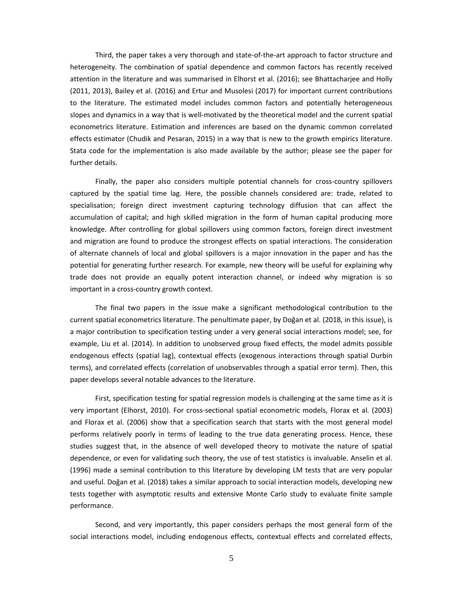Third, the paper takes a very thorough and state‐of‐the‐art approach to factor structure and heterogeneity. The combination of spatial dependence and common factors has recently received attention in the literature and was summarised in Elhorst et al. (2016); see Bhattacharjee and Holly (2011, 2013), Bailey et al. (2016) and Ertur and Musolesi (2017) for important current contributions to the literature. The estimated model includes common factors and potentially heterogeneous slopes and dynamics in a way that is well-motivated by the theoretical model and the current spatial econometrics literature. Estimation and inferences are based on the dynamic common correlated effects estimator (Chudik and Pesaran, 2015) in a way that is new to the growth empirics literature. Stata code for the implementation is also made available by the author; please see the paper for further details.

Finally, the paper also considers multiple potential channels for cross-country spillovers captured by the spatial time lag. Here, the possible channels considered are: trade, related to specialisation; foreign direct investment capturing technology diffusion that can affect the accumulation of capital; and high skilled migration in the form of human capital producing more knowledge. After controlling for global spillovers using common factors, foreign direct investment and migration are found to produce the strongest effects on spatial interactions. The consideration of alternate channels of local and global spillovers is a major innovation in the paper and has the potential for generating further research. For example, new theory will be useful for explaining why trade does not provide an equally potent interaction channel, or indeed why migration is so important in a cross‐country growth context.

The final two papers in the issue make a significant methodological contribution to the current spatial econometrics literature. The penultimate paper, by Doğan et al. (2018, in this issue), is a major contribution to specification testing under a very general social interactions model; see, for example, Liu et al. (2014). In addition to unobserved group fixed effects, the model admits possible endogenous effects (spatial lag), contextual effects (exogenous interactions through spatial Durbin terms), and correlated effects (correlation of unobservables through a spatial error term). Then, this paper develops several notable advances to the literature.

First, specification testing for spatial regression models is challenging at the same time as it is very important (Elhorst, 2010). For cross‐sectional spatial econometric models, Florax et al. (2003) and Florax et al. (2006) show that a specification search that starts with the most general model performs relatively poorly in terms of leading to the true data generating process. Hence, these studies suggest that, in the absence of well developed theory to motivate the nature of spatial dependence, or even for validating such theory, the use of test statistics is invaluable. Anselin et al. (1996) made a seminal contribution to this literature by developing LM tests that are very popular and useful. Doğan et al. (2018) takes a similar approach to social interaction models, developing new tests together with asymptotic results and extensive Monte Carlo study to evaluate finite sample performance.

Second, and very importantly, this paper considers perhaps the most general form of the social interactions model, including endogenous effects, contextual effects and correlated effects,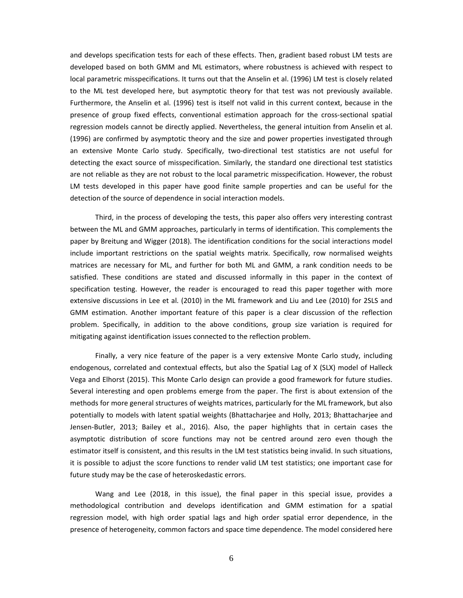and develops specification tests for each of these effects. Then, gradient based robust LM tests are developed based on both GMM and ML estimators, where robustness is achieved with respect to local parametric misspecifications. It turns out that the Anselin et al. (1996) LM test is closely related to the ML test developed here, but asymptotic theory for that test was not previously available. Furthermore, the Anselin et al. (1996) test is itself not valid in this current context, because in the presence of group fixed effects, conventional estimation approach for the cross‐sectional spatial regression models cannot be directly applied. Nevertheless, the general intuition from Anselin et al. (1996) are confirmed by asymptotic theory and the size and power properties investigated through an extensive Monte Carlo study. Specifically, two-directional test statistics are not useful for detecting the exact source of misspecification. Similarly, the standard one directional test statistics are not reliable as they are not robust to the local parametric misspecification. However, the robust LM tests developed in this paper have good finite sample properties and can be useful for the detection of the source of dependence in social interaction models.

Third, in the process of developing the tests, this paper also offers very interesting contrast between the ML and GMM approaches, particularly in terms of identification. This complements the paper by Breitung and Wigger (2018). The identification conditions for the social interactions model include important restrictions on the spatial weights matrix. Specifically, row normalised weights matrices are necessary for ML, and further for both ML and GMM, a rank condition needs to be satisfied. These conditions are stated and discussed informally in this paper in the context of specification testing. However, the reader is encouraged to read this paper together with more extensive discussions in Lee et al. (2010) in the ML framework and Liu and Lee (2010) for 2SLS and GMM estimation. Another important feature of this paper is a clear discussion of the reflection problem. Specifically, in addition to the above conditions, group size variation is required for mitigating against identification issues connected to the reflection problem.

Finally, a very nice feature of the paper is a very extensive Monte Carlo study, including endogenous, correlated and contextual effects, but also the Spatial Lag of X (SLX) model of Halleck Vega and Elhorst (2015). This Monte Carlo design can provide a good framework for future studies. Several interesting and open problems emerge from the paper. The first is about extension of the methods for more general structures of weights matrices, particularly for the ML framework, but also potentially to models with latent spatial weights (Bhattacharjee and Holly, 2013; Bhattacharjee and Jensen‐Butler, 2013; Bailey et al., 2016). Also, the paper highlights that in certain cases the asymptotic distribution of score functions may not be centred around zero even though the estimator itself is consistent, and this results in the LM test statistics being invalid. In such situations, it is possible to adjust the score functions to render valid LM test statistics; one important case for future study may be the case of heteroskedastic errors.

Wang and Lee (2018, in this issue), the final paper in this special issue, provides a methodological contribution and develops identification and GMM estimation for a spatial regression model, with high order spatial lags and high order spatial error dependence, in the presence of heterogeneity, common factors and space time dependence. The model considered here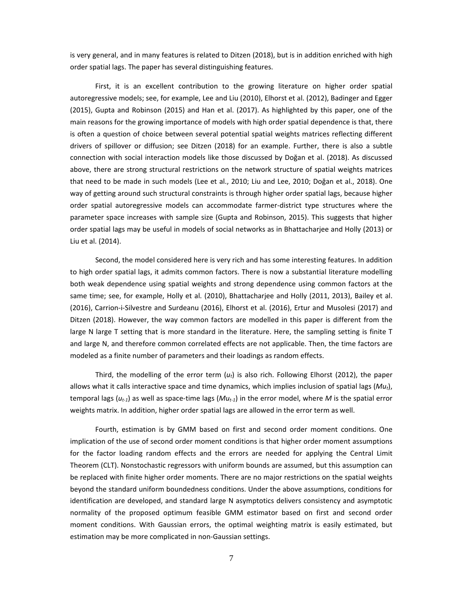is very general, and in many features is related to Ditzen (2018), but is in addition enriched with high order spatial lags. The paper has several distinguishing features.

First, it is an excellent contribution to the growing literature on higher order spatial autoregressive models; see, for example, Lee and Liu (2010), Elhorst et al. (2012), Badinger and Egger (2015), Gupta and Robinson (2015) and Han et al. (2017). As highlighted by this paper, one of the main reasons for the growing importance of models with high order spatial dependence is that, there is often a question of choice between several potential spatial weights matrices reflecting different drivers of spillover or diffusion; see Ditzen (2018) for an example. Further, there is also a subtle connection with social interaction models like those discussed by Doğan et al. (2018). As discussed above, there are strong structural restrictions on the network structure of spatial weights matrices that need to be made in such models (Lee et al., 2010; Liu and Lee, 2010; Doğan et al., 2018). One way of getting around such structural constraints is through higher order spatial lags, because higher order spatial autoregressive models can accommodate farmer‐district type structures where the parameter space increases with sample size (Gupta and Robinson, 2015). This suggests that higher order spatial lags may be useful in models of social networks as in Bhattacharjee and Holly (2013) or Liu et al. (2014).

Second, the model considered here is very rich and has some interesting features. In addition to high order spatial lags, it admits common factors. There is now a substantial literature modelling both weak dependence using spatial weights and strong dependence using common factors at the same time; see, for example, Holly et al. (2010), Bhattacharjee and Holly (2011, 2013), Bailey et al. (2016), Carrion‐i‐Silvestre and Surdeanu (2016), Elhorst et al. (2016), Ertur and Musolesi (2017) and Ditzen (2018). However, the way common factors are modelled in this paper is different from the large N large T setting that is more standard in the literature. Here, the sampling setting is finite T and large N, and therefore common correlated effects are not applicable. Then, the time factors are modeled as a finite number of parameters and their loadings as random effects.

Third, the modelling of the error term (*ut*) is also rich. Following Elhorst (2012), the paper allows what it calls interactive space and time dynamics, which implies inclusion of spatial lags (*Mut*), temporal lags ( $u_{t-1}$ ) as well as space-time lags ( $M u_{t-1}$ ) in the error model, where M is the spatial error weights matrix. In addition, higher order spatial lags are allowed in the error term as well.

Fourth, estimation is by GMM based on first and second order moment conditions. One implication of the use of second order moment conditions is that higher order moment assumptions for the factor loading random effects and the errors are needed for applying the Central Limit Theorem (CLT). Nonstochastic regressors with uniform bounds are assumed, but this assumption can be replaced with finite higher order moments. There are no major restrictions on the spatial weights beyond the standard uniform boundedness conditions. Under the above assumptions, conditions for identification are developed, and standard large N asymptotics delivers consistency and asymptotic normality of the proposed optimum feasible GMM estimator based on first and second order moment conditions. With Gaussian errors, the optimal weighting matrix is easily estimated, but estimation may be more complicated in non‐Gaussian settings.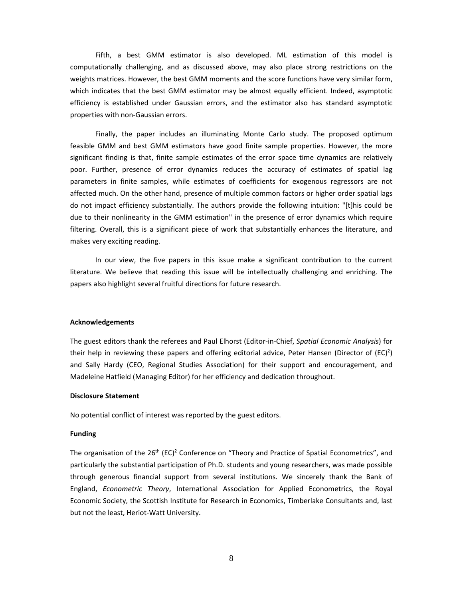Fifth, a best GMM estimator is also developed. ML estimation of this model is computationally challenging, and as discussed above, may also place strong restrictions on the weights matrices. However, the best GMM moments and the score functions have very similar form, which indicates that the best GMM estimator may be almost equally efficient. Indeed, asymptotic efficiency is established under Gaussian errors, and the estimator also has standard asymptotic properties with non‐Gaussian errors.

Finally, the paper includes an illuminating Monte Carlo study. The proposed optimum feasible GMM and best GMM estimators have good finite sample properties. However, the more significant finding is that, finite sample estimates of the error space time dynamics are relatively poor. Further, presence of error dynamics reduces the accuracy of estimates of spatial lag parameters in finite samples, while estimates of coefficients for exogenous regressors are not affected much. On the other hand, presence of multiple common factors or higher order spatial lags do not impact efficiency substantially. The authors provide the following intuition: "[t]his could be due to their nonlinearity in the GMM estimation" in the presence of error dynamics which require filtering. Overall, this is a significant piece of work that substantially enhances the literature, and makes very exciting reading.

In our view, the five papers in this issue make a significant contribution to the current literature. We believe that reading this issue will be intellectually challenging and enriching. The papers also highlight several fruitful directions for future research.

#### **Acknowledgements**

The guest editors thank the referees and Paul Elhorst (Editor‐in‐Chief, *Spatial Economic Analysis*) for their help in reviewing these papers and offering editorial advice, Peter Hansen (Director of  $(EC)^2$ ) and Sally Hardy (CEO, Regional Studies Association) for their support and encouragement, and Madeleine Hatfield (Managing Editor) for her efficiency and dedication throughout.

### **Disclosure Statement**

No potential conflict of interest was reported by the guest editors.

### **Funding**

The organisation of the  $26<sup>th</sup>$  (EC)<sup>2</sup> Conference on "Theory and Practice of Spatial Econometrics", and particularly the substantial participation of Ph.D. students and young researchers, was made possible through generous financial support from several institutions. We sincerely thank the Bank of England, *Econometric Theory*, International Association for Applied Econometrics, the Royal Economic Society, the Scottish Institute for Research in Economics, Timberlake Consultants and, last but not the least, Heriot‐Watt University.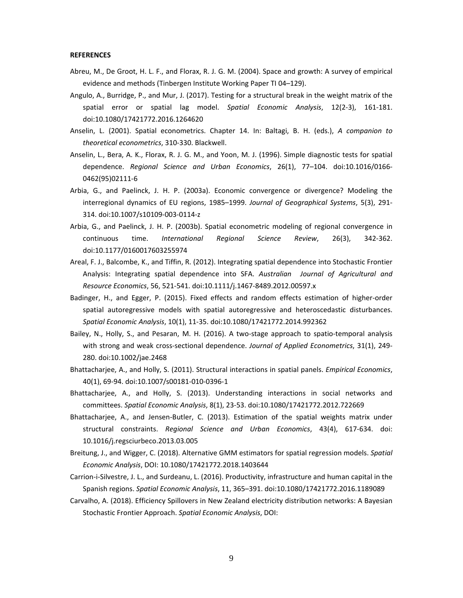### **REFERENCES**

- Abreu, M., De Groot, H. L. F., and Florax, R. J. G. M. (2004). Space and growth: A survey of empirical evidence and methods (Tinbergen Institute Working Paper TI 04–129).
- Angulo, A., Burridge, P., and Mur, J. (2017). Testing for a structural break in the weight matrix of the spatial error or spatial lag model. *Spatial Economic Analysis*, 12(2‐3), 161‐181. doi:10.1080/17421772.2016.1264620
- Anselin, L. (2001). Spatial econometrics. Chapter 14. In: Baltagi, B. H. (eds.), *A companion to theoretical econometrics*, 310‐330. Blackwell.
- Anselin, L., Bera, A. K., Florax, R. J. G. M., and Yoon, M. J. (1996). Simple diagnostic tests for spatial dependence. *Regional Science and Urban Economics*, 26(1), 77–104. doi:10.1016/0166‐ 0462(95)02111‐6
- Arbia, G., and Paelinck, J. H. P. (2003a). Economic convergence or divergence? Modeling the interregional dynamics of EU regions, 1985–1999. *Journal of Geographical Systems*, 5(3), 291‐ 314. doi:10.1007/s10109‐003‐0114‐z
- Arbia, G., and Paelinck, J. H. P. (2003b). Spatial econometric modeling of regional convergence in continuous time. *International Regional Science Review*, 26(3), 342‐362. doi:10.1177/0160017603255974
- Areal, F. J., Balcombe, K., and Tiffin, R. (2012). Integrating spatial dependence into Stochastic Frontier Analysis: Integrating spatial dependence into SFA. *Australian Journal of Agricultural and Resource Economics*, 56, 521‐541. doi:10.1111/j.1467‐8489.2012.00597.x
- Badinger, H., and Egger, P. (2015). Fixed effects and random effects estimation of higher‐order spatial autoregressive models with spatial autoregressive and heteroscedastic disturbances. *Spatial Economic Analysis*, 10(1), 11‐35. doi:10.1080/17421772.2014.992362
- Bailey, N., Holly, S., and Pesaran, M. H. (2016). A two-stage approach to spatio-temporal analysis with strong and weak cross‐sectional dependence. *Journal of Applied Econometrics*, 31(1), 249‐ 280. doi:10.1002/jae.2468
- Bhattacharjee, A., and Holly, S. (2011). Structural interactions in spatial panels. *Empirical Economics*, 40(1), 69‐94. doi:10.1007/s00181‐010‐0396‐1
- Bhattacharjee, A., and Holly, S. (2013). Understanding interactions in social networks and committees. *Spatial Economic Analysis*, 8(1), 23‐53. doi:10.1080/17421772.2012.722669
- Bhattacharjee, A., and Jensen‐Butler, C. (2013). Estimation of the spatial weights matrix under structural constraints. *Regional Science and Urban Economics*, 43(4), 617‐634. doi: 10.1016/j.regsciurbeco.2013.03.005
- Breitung, J., and Wigger, C. (2018). Alternative GMM estimators for spatial regression models. *Spatial Economic Analysis*, DOI: 10.1080/17421772.2018.1403644
- Carrion‐i‐Silvestre, J. L., and Surdeanu, L. (2016). Productivity, infrastructure and human capital in the Spanish regions. *Spatial Economic Analysis*, 11, 365–391. doi:10.1080/17421772.2016.1189089
- Carvalho, A. (2018). Efficiency Spillovers in New Zealand electricity distribution networks: A Bayesian Stochastic Frontier Approach. *Spatial Economic Analysis*, DOI: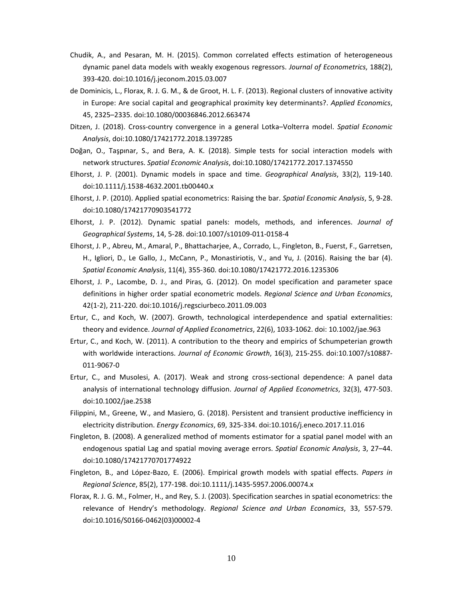- Chudik, A., and Pesaran, M. H. (2015). Common correlated effects estimation of heterogeneous dynamic panel data models with weakly exogenous regressors. *Journal of Econometrics*, 188(2), 393‐420. doi:10.1016/j.jeconom.2015.03.007
- de Dominicis, L., Florax, R. J. G. M., & de Groot, H. L. F. (2013). Regional clusters of innovative activity in Europe: Are social capital and geographical proximity key determinants?. *Applied Economics*, 45, 2325–2335. doi:10.1080/00036846.2012.663474
- Ditzen, J. (2018). Cross‐country convergence in a general Lotka–Volterra model. *Spatial Economic Analysis*, doi:10.1080/17421772.2018.1397285
- Doğan, O., Taşpınar, S., and Bera, A. K. (2018). Simple tests for social interaction models with network structures. *Spatial Economic Analysis*, doi:10.1080/17421772.2017.1374550
- Elhorst, J. P. (2001). Dynamic models in space and time. *Geographical Analysis*, 33(2), 119‐140. doi:10.1111/j.1538‐4632.2001.tb00440.x
- Elhorst, J. P. (2010). Applied spatial econometrics: Raising the bar. *Spatial Economic Analysis*, 5, 9‐28. doi:10.1080/17421770903541772
- Elhorst, J. P. (2012). Dynamic spatial panels: models, methods, and inferences. *Journal of Geographical Systems*, 14, 5‐28. doi:10.1007/s10109‐011‐0158‐4
- Elhorst, J. P., Abreu, M., Amaral, P., Bhattacharjee, A., Corrado, L., Fingleton, B., Fuerst, F., Garretsen, H., Igliori, D., Le Gallo, J., McCann, P., Monastiriotis, V., and Yu, J. (2016). Raising the bar (4). *Spatial Economic Analysis*, 11(4), 355‐360. doi:10.1080/17421772.2016.1235306
- Elhorst, J. P., Lacombe, D. J., and Piras, G. (2012). On model specification and parameter space definitions in higher order spatial econometric models. *Regional Science and Urban Economics*, 42(1‐2), 211‐220. doi:10.1016/j.regsciurbeco.2011.09.003
- Ertur, C., and Koch, W. (2007). Growth, technological interdependence and spatial externalities: theory and evidence. *Journal of Applied Econometrics*, 22(6), 1033‐1062. doi: 10.1002/jae.963
- Ertur, C., and Koch, W. (2011). A contribution to the theory and empirics of Schumpeterian growth with worldwide interactions. *Journal of Economic Growth*, 16(3), 215‐255. doi:10.1007/s10887‐ 011‐9067‐0
- Ertur, C., and Musolesi, A. (2017). Weak and strong cross-sectional dependence: A panel data analysis of international technology diffusion. *Journal of Applied Econometrics*, 32(3), 477‐503. doi:10.1002/jae.2538
- Filippini, M., Greene, W., and Masiero, G. (2018). Persistent and transient productive inefficiency in electricity distribution. *Energy Economics*, 69, 325‐334. doi:10.1016/j.eneco.2017.11.016
- Fingleton, B. (2008). A generalized method of moments estimator for a spatial panel model with an endogenous spatial Lag and spatial moving average errors. *Spatial Economic Analysis*, 3, 27–44. doi:10.1080/17421770701774922
- Fingleton, B., and López‐Bazo, E. (2006). Empirical growth models with spatial effects. *Papers in Regional Science*, 85(2), 177‐198. doi:10.1111/j.1435‐5957.2006.00074.x
- Florax, R. J. G. M., Folmer, H., and Rey, S. J. (2003). Specification searches in spatial econometrics: the relevance of Hendry's methodology. *Regional Science and Urban Economics*, 33, 557‐579. doi:10.1016/S0166‐0462(03)00002‐4